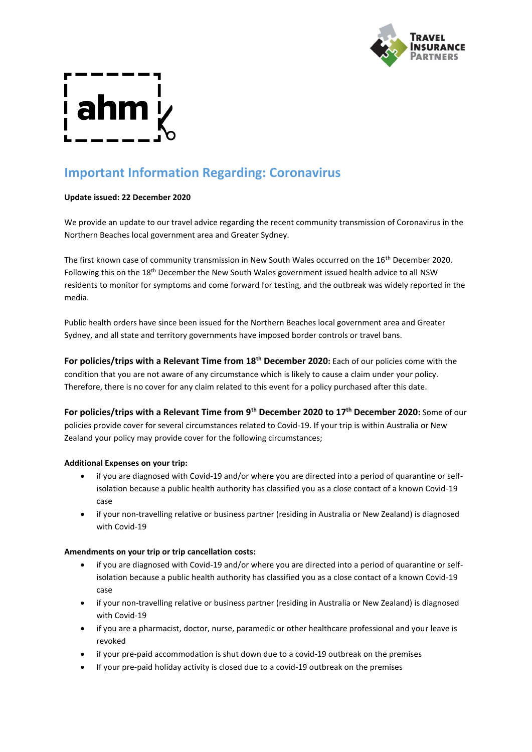

# **Important Information Regarding: Coronavirus**

### **Update issued: 22 December 2020**

We provide an update to our travel advice regarding the recent community transmission of Coronavirus in the Northern Beaches local government area and Greater Sydney.

The first known case of community transmission in New South Wales occurred on the 16<sup>th</sup> December 2020. Following this on the 18<sup>th</sup> December the New South Wales government issued health advice to all NSW residents to monitor for symptoms and come forward for testing, and the outbreak was widely reported in the media.

Public health orders have since been issued for the Northern Beaches local government area and Greater Sydney, and all state and territory governments have imposed border controls or travel bans.

**For policies/trips with a Relevant Time from 18th December 2020:** Each of our policies come with the condition that you are not aware of any circumstance which is likely to cause a claim under your policy. Therefore, there is no cover for any claim related to this event for a policy purchased after this date.

**For policies/trips with a Relevant Time from 9th December 2020 to 17th December 2020:** Some of our policies provide cover for several circumstances related to Covid-19. If your trip is within Australia or New Zealand your policy may provide cover for the following circumstances;

#### **Additional Expenses on your trip:**

- if you are diagnosed with Covid-19 and/or where you are directed into a period of quarantine or selfisolation because a public health authority has classified you as a close contact of a known Covid-19 case
- if your non-travelling relative or business partner (residing in Australia or New Zealand) is diagnosed with Covid-19

#### **Amendments on your trip or trip cancellation costs:**

- if you are diagnosed with Covid-19 and/or where you are directed into a period of quarantine or selfisolation because a public health authority has classified you as a close contact of a known Covid-19 case
- if your non-travelling relative or business partner (residing in Australia or New Zealand) is diagnosed with Covid-19
- if you are a pharmacist, doctor, nurse, paramedic or other healthcare professional and your leave is revoked
- if your pre-paid accommodation is shut down due to a covid-19 outbreak on the premises
- If your pre-paid holiday activity is closed due to a covid-19 outbreak on the premises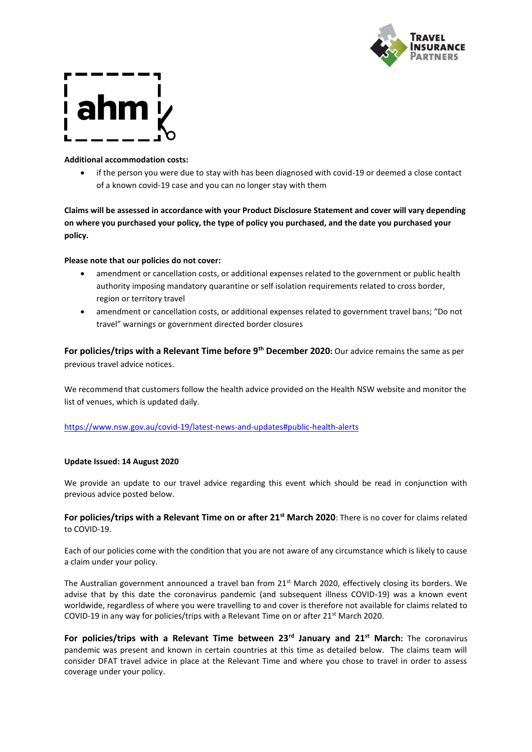



#### **Additional accommodation costs:**

• if the person you were due to stay with has been diagnosed with covid-19 or deemed a close contact of a known covid-19 case and you can no longer stay with them

**Claims will be assessed in accordance with your Product Disclosure Statement and cover will vary depending on where you purchased your policy, the type of policy you purchased, and the date you purchased your policy.**

#### **Please note that our policies do not cover:**

- amendment or cancellation costs, or additional expenses related to the government or public health authority imposing mandatory quarantine or self isolation requirements related to cross border, region or territory travel
- amendment or cancellation costs, or additional expenses related to government travel bans; "Do not travel" warnings or government directed border closures

**For policies/trips with a Relevant Time before 9th December 2020:** Our advice remains the same as per previous travel advice notices.

We recommend that customers follow the health advice provided on the Health NSW website and monitor the list of venues, which is updated daily.

#### <https://www.nsw.gov.au/covid-19/latest-news-and-updates#public-health-alerts>

#### **Update Issued: 14 August 2020**

We provide an update to our travel advice regarding this event which should be read in conjunction with previous advice posted below.

### **For policies/trips with a Relevant Time on or after 21st March 2020**: There is no cover for claims related to COVID-19.

Each of our policies come with the condition that you are not aware of any circumstance which is likely to cause a claim under your policy.

The Australian government announced a travel ban from 21<sup>st</sup> March 2020, effectively closing its borders. We advise that by this date the coronavirus pandemic (and subsequent illness COVID-19) was a known event worldwide, regardless of where you were travelling to and cover is therefore not available for claims related to COVID-19 in any way for policies/trips with a Relevant Time on or after 21st March 2020.

**For policies/trips with a Relevant Time between 23rd January and 21st March:** The coronavirus pandemic was present and known in certain countries at this time as detailed below. The claims team will consider DFAT travel advice in place at the Relevant Time and where you chose to travel in order to assess coverage under your policy.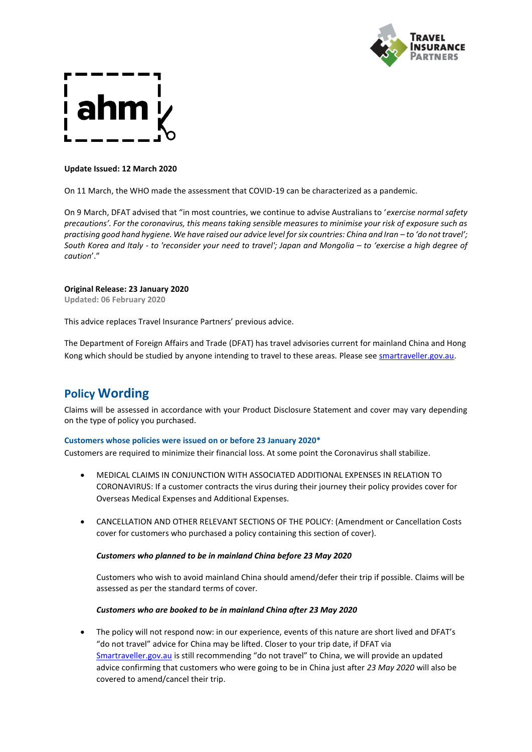

#### **Update Issued: 12 March 2020**

On 11 March, the WHO made the assessment that COVID-19 can be characterized as a pandemic.

On 9 March, DFAT advised that "in most countries, we continue to advise Australians to '*exercise normal safety precautions'. For the coronavirus, this means taking sensible measures to minimise your risk of exposure such as practising good hand hygiene. We have raised our advice level for six countries: China and Iran – to 'do not travel'; South Korea and Italy - to 'reconsider your need to travel'; Japan and Mongolia – to 'exercise a high degree of caution*'."

#### **Original Release: 23 January 2020**

**Updated: 06 February 2020**

This advice replaces Travel Insurance Partners' previous advice.

The Department of Foreign Affairs and Trade (DFAT) has travel advisories current for mainland China and Hong Kong which should be studied by anyone intending to travel to these areas. Please se[e smartraveller.gov.au.](https://www.smartraveller.gov.au/)

## **Policy Wording**

Claims will be assessed in accordance with your Product Disclosure Statement and cover may vary depending on the type of policy you purchased.

#### **Customers whose policies were issued on or before 23 January 2020\***

Customers are required to minimize their financial loss. At some point the Coronavirus shall stabilize.

- MEDICAL CLAIMS IN CONJUNCTION WITH ASSOCIATED ADDITIONAL EXPENSES IN RELATION TO CORONAVIRUS: If a customer contracts the virus during their journey their policy provides cover for Overseas Medical Expenses and Additional Expenses.
- CANCELLATION AND OTHER RELEVANT SECTIONS OF THE POLICY: (Amendment or Cancellation Costs cover for customers who purchased a policy containing this section of cover).

#### *Customers who planned to be in mainland China before 23 May 2020*

Customers who wish to avoid mainland China should amend/defer their trip if possible. Claims will be assessed as per the standard terms of cover.

#### *Customers who are booked to be in mainland China after 23 May 2020*

• The policy will not respond now: in our experience, events of this nature are short lived and DFAT's "do not travel" advice for China may be lifted. Closer to your trip date, if DFAT via [Smartraveller.gov.au](https://www.smartraveller.gov.au/) is still recommending "do not travel" to China, we will provide an updated advice confirming that customers who were going to be in China just after *23 May 2020* will also be covered to amend/cancel their trip.